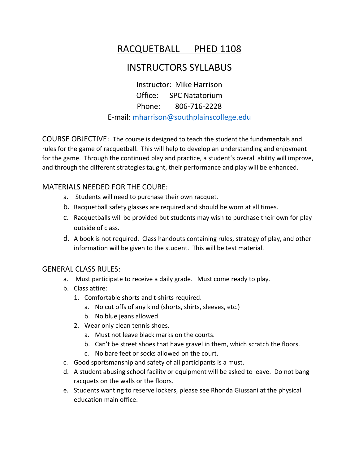# RACQUETBALL PHED 1108

## INSTRUCTORS SYLLABUS

Instructor: Mike Harrison Office: SPC Natatorium Phone: 806-716-2228 E-mail: [mharrison@southplainscollege.edu](mailto:mharrison@southplainscollege.edu)

COURSE OBJECTIVE: The course is designed to teach the student the fundamentals and rules for the game of racquetball. This will help to develop an understanding and enjoyment for the game. Through the continued play and practice, a student's overall ability will improve, and through the different strategies taught, their performance and play will be enhanced.

### MATERIALS NEEDED FOR THE COURE:

- a. Students will need to purchase their own racquet.
- b. Racquetball safety glasses are required and should be worn at all times.
- c. Racquetballs will be provided but students may wish to purchase their own for play outside of class.
- d. A book is not required. Class handouts containing rules, strategy of play, and other information will be given to the student. This will be test material.

#### GENERAL CLASS RULES:

- a. Must participate to receive a daily grade. Must come ready to play.
- b. Class attire:
	- 1. Comfortable shorts and t-shirts required.
		- a. No cut offs of any kind (shorts, shirts, sleeves, etc.)
		- b. No blue jeans allowed
	- 2. Wear only clean tennis shoes.
		- a. Must not leave black marks on the courts.
		- b. Can't be street shoes that have gravel in them, which scratch the floors.
		- c. No bare feet or socks allowed on the court.
- c. Good sportsmanship and safety of all participants is a must.
- d. A student abusing school facility or equipment will be asked to leave. Do not bang racquets on the walls or the floors.
- e. Students wanting to reserve lockers, please see Rhonda Giussani at the physical education main office.